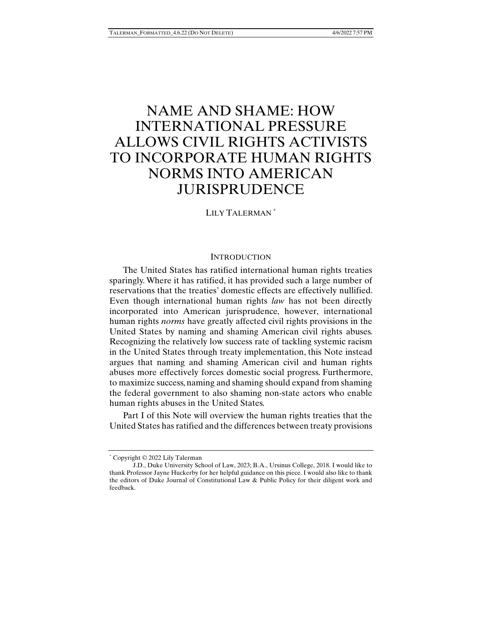# NAME AND SHAME: HOW INTERNATIONAL PRESSURE ALLOWS CIVIL RIGHTS ACTIVISTS TO INCORPORATE HUMAN RIGHTS NORMS INTO AMERICAN JURISPRUDENCE

LILY TALERMAN \*

# **INTRODUCTION**

The United States has ratified international human rights treaties sparingly. Where it has ratified, it has provided such a large number of reservations that the treaties' domestic effects are effectively nullified. Even though international human rights *law* has not been directly incorporated into American jurisprudence, however, international human rights *norms* have greatly affected civil rights provisions in the United States by naming and shaming American civil rights abuses. Recognizing the relatively low success rate of tackling systemic racism in the United States through treaty implementation, this Note instead argues that naming and shaming American civil and human rights abuses more effectively forces domestic social progress. Furthermore, to maximize success, naming and shaming should expand from shaming the federal government to also shaming non-state actors who enable human rights abuses in the United States.

Part I of this Note will overview the human rights treaties that the United States has ratified and the differences between treaty provisions

<sup>\*</sup> Copyright © 2022 Lily Talerman

J.D., Duke University School of Law, 2023; B.A., Ursinus College, 2018. I would like to thank Professor Jayne Huckerby for her helpful guidance on this piece. I would also like to thank the editors of Duke Journal of Constitutional Law & Public Policy for their diligent work and feedback.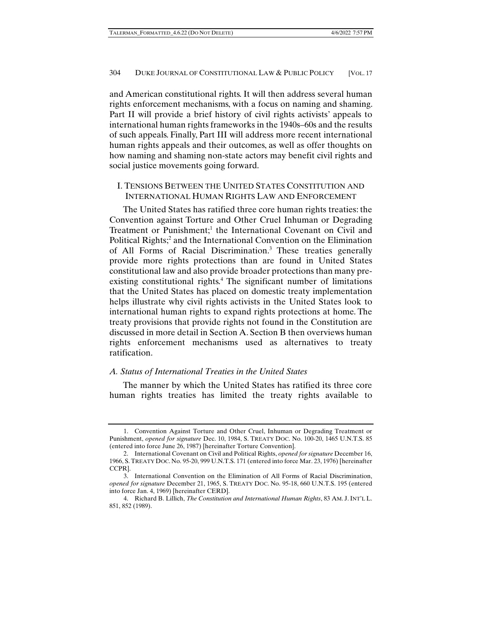and American constitutional rights. It will then address several human rights enforcement mechanisms, with a focus on naming and shaming. Part II will provide a brief history of civil rights activists' appeals to international human rights frameworks in the 1940s–60s and the results of such appeals. Finally, Part III will address more recent international human rights appeals and their outcomes, as well as offer thoughts on how naming and shaming non-state actors may benefit civil rights and social justice movements going forward.

# I. TENSIONS BETWEEN THE UNITED STATES CONSTITUTION AND INTERNATIONAL HUMAN RIGHTS LAW AND ENFORCEMENT

The United States has ratified three core human rights treaties: the Convention against Torture and Other Cruel Inhuman or Degrading Treatment or Punishment;<sup>1</sup> the International Covenant on Civil and Political Rights;<sup>2</sup> and the International Convention on the Elimination of All Forms of Racial Discrimination.<sup>3</sup> These treaties generally provide more rights protections than are found in United States constitutional law and also provide broader protections than many preexisting constitutional rights.<sup>4</sup> The significant number of limitations that the United States has placed on domestic treaty implementation helps illustrate why civil rights activists in the United States look to international human rights to expand rights protections at home. The treaty provisions that provide rights not found in the Constitution are discussed in more detail in Section A. Section B then overviews human rights enforcement mechanisms used as alternatives to treaty ratification.

# *A. Status of International Treaties in the United States*

The manner by which the United States has ratified its three core human rights treaties has limited the treaty rights available to

 <sup>1.</sup> Convention Against Torture and Other Cruel, Inhuman or Degrading Treatment or Punishment, *opened for signature* Dec. 10, 1984, S. TREATY DOC. No. 100-20, 1465 U.N.T.S. 85 (entered into force June 26, 1987) [hereinafter Torture Convention].

 <sup>2.</sup> International Covenant on Civil and Political Rights, *opened for signature* December 16, 1966, S. TREATY DOC. No. 95-20, 999 U.N.T.S. 171 (entered into force Mar. 23, 1976) [hereinafter CCPR].

 <sup>3.</sup> International Convention on the Elimination of All Forms of Racial Discrimination, *opened for signature* December 21, 1965, S. TREATY DOC. No. 95-18, 660 U.N.T.S. 195 (entered into force Jan. 4, 1969) [hereinafter CERD].

 <sup>4.</sup> Richard B. Lillich, *The Constitution and International Human Rights*, 83 AM. J.INT'L L. 851, 852 (1989).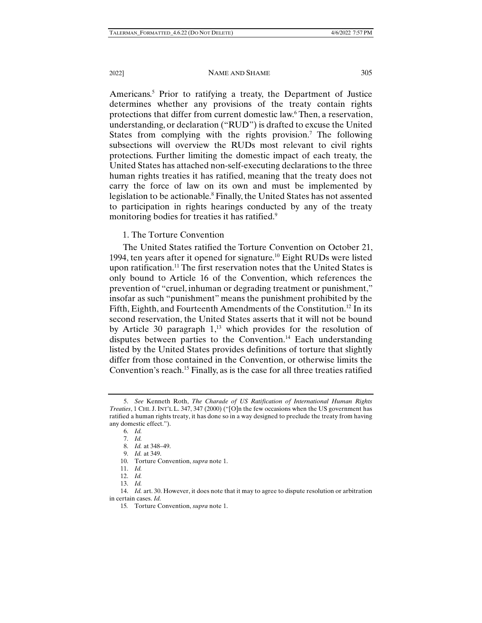Americans.<sup>5</sup> Prior to ratifying a treaty, the Department of Justice determines whether any provisions of the treaty contain rights protections that differ from current domestic law.<sup>6</sup> Then, a reservation, understanding, or declaration ("RUD") is drafted to excuse the United States from complying with the rights provision.<sup>7</sup> The following subsections will overview the RUDs most relevant to civil rights protections. Further limiting the domestic impact of each treaty, the United States has attached non-self-executing declarations to the three human rights treaties it has ratified, meaning that the treaty does not carry the force of law on its own and must be implemented by legislation to be actionable.<sup>8</sup> Finally, the United States has not assented to participation in rights hearings conducted by any of the treaty monitoring bodies for treaties it has ratified.<sup>9</sup>

### 1. The Torture Convention

The United States ratified the Torture Convention on October 21, 1994, ten years after it opened for signature.10 Eight RUDs were listed upon ratification.<sup>11</sup> The first reservation notes that the United States is only bound to Article 16 of the Convention, which references the prevention of "cruel, inhuman or degrading treatment or punishment," insofar as such "punishment" means the punishment prohibited by the Fifth, Eighth, and Fourteenth Amendments of the Constitution.<sup>12</sup> In its second reservation, the United States asserts that it will not be bound by Article 30 paragraph  $1<sup>13</sup>$  which provides for the resolution of disputes between parties to the Convention.<sup>14</sup> Each understanding listed by the United States provides definitions of torture that slightly differ from those contained in the Convention, or otherwise limits the Convention's reach.15 Finally, as is the case for all three treaties ratified

 <sup>5.</sup> *See* Kenneth Roth, *The Charade of US Ratification of International Human Rights Treaties*, 1 CHI. J.INT'L L. 347, 347 (2000) ("[O]n the few occasions when the US government has ratified a human rights treaty, it has done so in a way designed to preclude the treaty from having any domestic effect.").

 <sup>6.</sup> *Id.*

 <sup>7.</sup> *Id.*

 <sup>8.</sup> *Id.* at 348–49.

 <sup>9.</sup> *Id.* at 349.

 <sup>10.</sup> Torture Convention, *supra* note 1.

 <sup>11.</sup> *Id.* 

 <sup>12.</sup> *Id.*

 <sup>13.</sup> *Id.*

 <sup>14.</sup> *Id.* art. 30. However, it does note that it may to agree to dispute resolution or arbitration in certain cases. *Id.*

<sup>15</sup>*.* Torture Convention, *supra* note 1.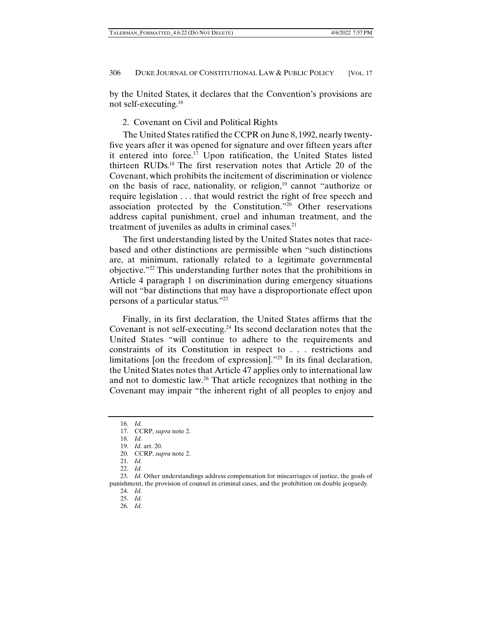by the United States, it declares that the Convention's provisions are not self-executing.16

# 2. Covenant on Civil and Political Rights

The United States ratified the CCPR on June 8, 1992, nearly twentyfive years after it was opened for signature and over fifteen years after it entered into force.<sup>17</sup> Upon ratification, the United States listed thirteen RUDs.18 The first reservation notes that Article 20 of the Covenant, which prohibits the incitement of discrimination or violence on the basis of race, nationality, or religion, $19$  cannot "authorize or require legislation . . . that would restrict the right of free speech and association protected by the Constitution."20 Other reservations address capital punishment, cruel and inhuman treatment, and the treatment of juveniles as adults in criminal cases. $21$ 

The first understanding listed by the United States notes that racebased and other distinctions are permissible when "such distinctions are, at minimum, rationally related to a legitimate governmental objective."22 This understanding further notes that the prohibitions in Article 4 paragraph 1 on discrimination during emergency situations will not "bar distinctions that may have a disproportionate effect upon persons of a particular status."23

Finally, in its first declaration, the United States affirms that the Covenant is not self-executing.24 Its second declaration notes that the United States "will continue to adhere to the requirements and constraints of its Constitution in respect to . . . restrictions and limitations [on the freedom of expression]."25 In its final declaration, the United States notes that Article 47 applies only to international law and not to domestic law.26 That article recognizes that nothing in the Covenant may impair "the inherent right of all peoples to enjoy and

26. *Id.*

 <sup>16.</sup> *Id.*

 <sup>17.</sup> CCRP, *supra* note 2.

 <sup>18.</sup> *Id.*

 <sup>19.</sup> *Id.* art. 20.

 <sup>20.</sup> CCRP, *supra* note 2.

 <sup>21.</sup> *Id.* 

 <sup>22.</sup> *Id.*

 <sup>23.</sup> *Id.* Other understandings address compensation for miscarriages of justice, the goals of punishment, the provision of counsel in criminal cases, and the prohibition on double jeopardy.

 <sup>24.</sup> *Id.*

 <sup>25.</sup> *Id.*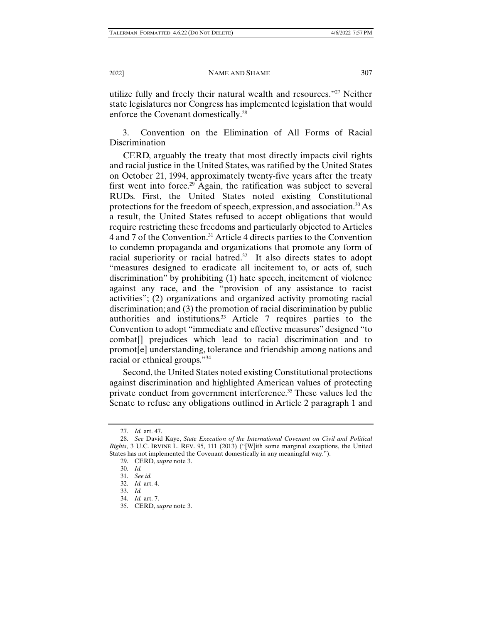utilize fully and freely their natural wealth and resources."27 Neither state legislatures nor Congress has implemented legislation that would enforce the Covenant domestically.<sup>28</sup>

3. Convention on the Elimination of All Forms of Racial Discrimination

CERD, arguably the treaty that most directly impacts civil rights and racial justice in the United States, was ratified by the United States on October 21, 1994, approximately twenty-five years after the treaty first went into force.<sup>29</sup> Again, the ratification was subject to several RUDs. First, the United States noted existing Constitutional protections for the freedom of speech, expression, and association.30 As a result, the United States refused to accept obligations that would require restricting these freedoms and particularly objected to Articles 4 and 7 of the Convention.31 Article 4 directs parties to the Convention to condemn propaganda and organizations that promote any form of racial superiority or racial hatred.<sup>32</sup> It also directs states to adopt "measures designed to eradicate all incitement to, or acts of, such discrimination" by prohibiting (1) hate speech, incitement of violence against any race, and the "provision of any assistance to racist activities"; (2) organizations and organized activity promoting racial discrimination; and (3) the promotion of racial discrimination by public authorities and institutions. $33$  Article 7 requires parties to the Convention to adopt "immediate and effective measures" designed "to combat[] prejudices which lead to racial discrimination and to promot[e] understanding, tolerance and friendship among nations and racial or ethnical groups."34

Second, the United States noted existing Constitutional protections against discrimination and highlighted American values of protecting private conduct from government interference.<sup>35</sup> These values led the Senate to refuse any obligations outlined in Article 2 paragraph 1 and

 <sup>27.</sup> *Id.* art. 47.

 <sup>28.</sup> *See* David Kaye, *State Execution of the International Covenant on Civil and Political Rights*, 3 U.C. IRVINE L. REV. 95, 111 (2013) ("[W]ith some marginal exceptions, the United States has not implemented the Covenant domestically in any meaningful way.").

 <sup>29.</sup> CERD, *supra* note 3.

 <sup>30.</sup> *Id.*

 <sup>31.</sup> *See id.*

 <sup>32.</sup> *Id.* art. 4.

 <sup>33.</sup> *Id.*

 <sup>34.</sup> *Id.* art. 7.

 <sup>35.</sup> CERD, *supra* note 3.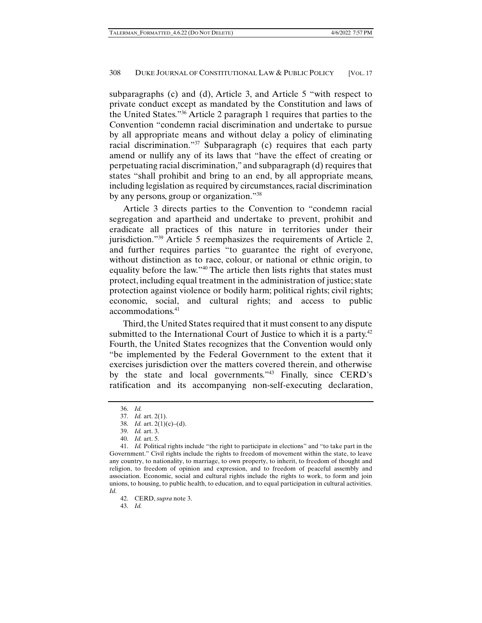subparagraphs (c) and (d), Article 3, and Article 5 "with respect to private conduct except as mandated by the Constitution and laws of the United States."36 Article 2 paragraph 1 requires that parties to the Convention "condemn racial discrimination and undertake to pursue by all appropriate means and without delay a policy of eliminating racial discrimination."37 Subparagraph (c) requires that each party amend or nullify any of its laws that "have the effect of creating or perpetuating racial discrimination," and subparagraph (d) requires that states "shall prohibit and bring to an end, by all appropriate means, including legislation as required by circumstances, racial discrimination by any persons, group or organization."38

Article 3 directs parties to the Convention to "condemn racial segregation and apartheid and undertake to prevent, prohibit and eradicate all practices of this nature in territories under their jurisdiction."<sup>39</sup> Article 5 reemphasizes the requirements of Article 2, and further requires parties "to guarantee the right of everyone, without distinction as to race, colour, or national or ethnic origin, to equality before the law."40 The article then lists rights that states must protect, including equal treatment in the administration of justice; state protection against violence or bodily harm; political rights; civil rights; economic, social, and cultural rights; and access to public accommodations.41

Third, the United States required that it must consent to any dispute submitted to the International Court of Justice to which it is a party.<sup>42</sup> Fourth, the United States recognizes that the Convention would only "be implemented by the Federal Government to the extent that it exercises jurisdiction over the matters covered therein, and otherwise by the state and local governments."43 Finally, since CERD's ratification and its accompanying non-self-executing declaration,

43. *Id.*

 <sup>36.</sup> *Id.*

 <sup>37.</sup> *Id.* art. 2(1).

 <sup>38.</sup> *Id.* art. 2(1)(c)–(d).

 <sup>39.</sup> *Id.* art. 3.

 <sup>40.</sup> *Id.* art. 5.

 <sup>41.</sup> *Id.* Political rights include "the right to participate in elections" and "to take part in the Government." Civil rights include the rights to freedom of movement within the state, to leave any country, to nationality, to marriage, to own property, to inherit, to freedom of thought and religion, to freedom of opinion and expression, and to freedom of peaceful assembly and association. Economic, social and cultural rights include the rights to work, to form and join unions, to housing, to public health, to education, and to equal participation in cultural activities. *Id.*

 <sup>42.</sup> CERD, *supra* note 3.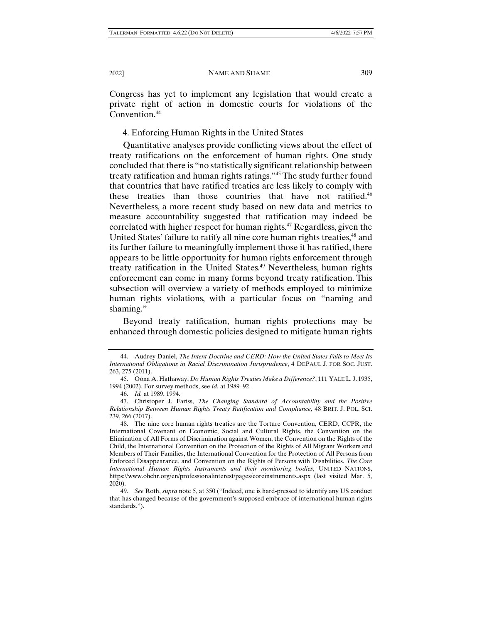Congress has yet to implement any legislation that would create a private right of action in domestic courts for violations of the Convention.<sup>44</sup>

4. Enforcing Human Rights in the United States

Quantitative analyses provide conflicting views about the effect of treaty ratifications on the enforcement of human rights. One study concluded that there is "no statistically significant relationship between treaty ratification and human rights ratings."45 The study further found that countries that have ratified treaties are less likely to comply with these treaties than those countries that have not ratified.<sup>46</sup> Nevertheless, a more recent study based on new data and metrics to measure accountability suggested that ratification may indeed be correlated with higher respect for human rights.<sup>47</sup> Regardless, given the United States' failure to ratify all nine core human rights treaties,<sup>48</sup> and its further failure to meaningfully implement those it has ratified, there appears to be little opportunity for human rights enforcement through treaty ratification in the United States.<sup>49</sup> Nevertheless, human rights enforcement can come in many forms beyond treaty ratification. This subsection will overview a variety of methods employed to minimize human rights violations, with a particular focus on "naming and shaming."

Beyond treaty ratification, human rights protections may be enhanced through domestic policies designed to mitigate human rights

 <sup>44.</sup> Audrey Daniel, *The Intent Doctrine and CERD: How the United States Fails to Meet Its International Obligations in Racial Discrimination Jurisprudence*, 4 DEPAUL J. FOR SOC. JUST. 263, 275 (2011).

 <sup>45.</sup> Oona A. Hathaway, *Do Human Rights Treaties Make a Difference?*, 111 YALE L. J. 1935, 1994 (2002). For survey methods, see *id.* at 1989–92.

 <sup>46.</sup> *Id.* at 1989, 1994.

 <sup>47.</sup> Christoper J. Fariss, *The Changing Standard of Accountability and the Positive Relationship Between Human Rights Treaty Ratification and Compliance*, 48 BRIT. J. POL. SCI. 239, 266 (2017).

 <sup>48.</sup> The nine core human rights treaties are the Torture Convention, CERD, CCPR, the International Covenant on Economic, Social and Cultural Rights, the Convention on the Elimination of All Forms of Discrimination against Women, the Convention on the Rights of the Child, the International Convention on the Protection of the Rights of All Migrant Workers and Members of Their Families, the International Convention for the Protection of All Persons from Enforced Disappearance, and Convention on the Rights of Persons with Disabilities. *The Core International Human Rights Instruments and their monitoring bodies*, UNITED NATIONS, https://www.ohchr.org/en/professionalinterest/pages/coreinstruments.aspx (last visited Mar. 5, 2020).

 <sup>49.</sup> *See* Roth, *supra* note 5, at 350 ("Indeed, one is hard-pressed to identify any US conduct that has changed because of the government's supposed embrace of international human rights standards.").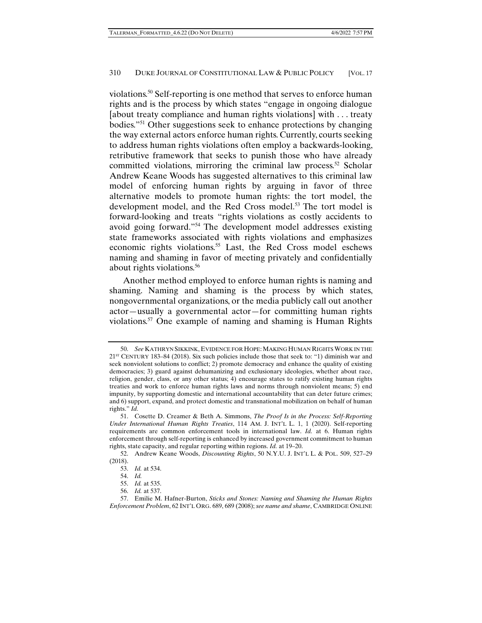violations.50 Self-reporting is one method that serves to enforce human rights and is the process by which states "engage in ongoing dialogue [about treaty compliance and human rights violations] with . . . treaty bodies."51 Other suggestions seek to enhance protections by changing the way external actors enforce human rights. Currently, courts seeking to address human rights violations often employ a backwards-looking, retributive framework that seeks to punish those who have already committed violations, mirroring the criminal law process.<sup>52</sup> Scholar Andrew Keane Woods has suggested alternatives to this criminal law model of enforcing human rights by arguing in favor of three alternative models to promote human rights: the tort model, the development model, and the Red Cross model.<sup>53</sup> The tort model is forward-looking and treats "rights violations as costly accidents to avoid going forward."54 The development model addresses existing state frameworks associated with rights violations and emphasizes economic rights violations.55 Last, the Red Cross model eschews naming and shaming in favor of meeting privately and confidentially about rights violations.<sup>56</sup>

Another method employed to enforce human rights is naming and shaming. Naming and shaming is the process by which states, nongovernmental organizations, or the media publicly call out another actor—usually a governmental actor—for committing human rights violations.57 One example of naming and shaming is Human Rights

 <sup>50.</sup> *See* KATHRYN SIKKINK, EVIDENCE FOR HOPE:MAKING HUMAN RIGHTS WORK IN THE  $21<sup>ST</sup>$  CENTURY 183–84 (2018). Six such policies include those that seek to: "1) diminish war and seek nonviolent solutions to conflict; 2) promote democracy and enhance the quality of existing democracies; 3) guard against dehumanizing and exclusionary ideologies, whether about race, religion, gender, class, or any other status; 4) encourage states to ratify existing human rights treaties and work to enforce human rights laws and norms through nonviolent means; 5) end impunity, by supporting domestic and international accountability that can deter future crimes; and 6) support, expand, and protect domestic and transnational mobilization on behalf of human rights." *Id.*

 <sup>51.</sup> Cosette D. Creamer & Beth A. Simmons, *The Proof Is in the Process: Self-Reporting Under International Human Rights Treaties*, 114 AM. J. INT'L L. 1, 1 (2020). Self-reporting requirements are common enforcement tools in international law. *Id.* at 6. Human rights enforcement through self-reporting is enhanced by increased government commitment to human rights, state capacity, and regular reporting within regions. *Id.* at 19–20.

 <sup>52.</sup> Andrew Keane Woods, *Discounting Rights*, 50 N.Y.U. J. INT'L L. & POL. 509, 527–29 (2018).

 <sup>53.</sup> *Id.* at 534.

 <sup>54.</sup> *Id.*

 <sup>55.</sup> *Id.* at 535.

 <sup>56.</sup> *Id.* at 537.

 <sup>57.</sup> Emilie M. Hafner-Burton, *Sticks and Stones: Naming and Shaming the Human Rights Enforcement Problem*, 62 INT'L ORG. 689, 689 (2008); *see name and shame*, CAMBRIDGE ONLINE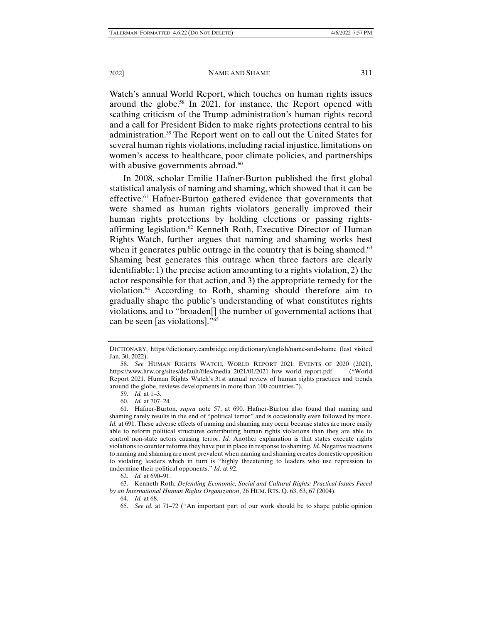#### 2022] NAME AND SHAME 311

Watch's annual World Report, which touches on human rights issues around the globe.58 In 2021, for instance, the Report opened with scathing criticism of the Trump administration's human rights record and a call for President Biden to make rights protections central to his administration.59 The Report went on to call out the United States for several human rights violations, including racial injustice, limitations on women's access to healthcare, poor climate policies, and partnerships with abusive governments abroad.<sup>60</sup>

In 2008, scholar Emilie Hafner-Burton published the first global statistical analysis of naming and shaming, which showed that it can be effective.<sup>61</sup> Hafner-Burton gathered evidence that governments that were shamed as human rights violators generally improved their human rights protections by holding elections or passing rightsaffirming legislation.<sup>62</sup> Kenneth Roth, Executive Director of Human Rights Watch, further argues that naming and shaming works best when it generates public outrage in the country that is being shamed. $63$ Shaming best generates this outrage when three factors are clearly identifiable: 1) the precise action amounting to a rights violation, 2) the actor responsible for that action, and 3) the appropriate remedy for the violation.64 According to Roth, shaming should therefore aim to gradually shape the public's understanding of what constitutes rights violations, and to "broaden[] the number of governmental actions that can be seen [as violations]."65

59. *Id.* at 1–3.

DICTIONARY, https://dictionary.cambridge.org/dictionary/english/name-and-shame (last visited Jan. 30, 2022).

 <sup>58.</sup> *See* HUMAN RIGHTS WATCH, WORLD REPORT 2021: EVENTS OF 2020 (2021), https://www.hrw.org/sites/default/files/media\_2021/01/2021\_hrw\_world\_report.pdf ("World Report 2021, Human Rights Watch's 31st annual review of human rights practices and trends around the globe, reviews developments in more than 100 countries.").

 <sup>60.</sup> *Id.* at 707–24.

 <sup>61.</sup> Hafner-Burton, *supra* note 57, at 690. Hafner-Burton also found that naming and shaming rarely results in the end of "political terror" and is occasionally even followed by more. *Id.* at 691. These adverse effects of naming and shaming may occur because states are more easily able to reform political structures contributing human rights violations than they are able to control non-state actors causing terror. *Id.* Another explanation is that states execute rights violations to counter reforms they have put in place in response to shaming. *Id.* Negative reactions to naming and shaming are most prevalent when naming and shaming creates domestic opposition to violating leaders which in turn is "highly threatening to leaders who use repression to undermine their political opponents." *Id*. at 92.

 <sup>62.</sup> *Id.* at 690–91.

 <sup>63.</sup> Kenneth Roth, *Defending Economic, Social and Cultural Rights: Practical Issues Faced by an International Human Rights Organization*, 26 HUM. RTS. Q. 63, 63, 67 (2004).

 <sup>64.</sup> *Id.* at 68.

 <sup>65.</sup> *See id.* at 71–72 ("An important part of our work should be to shape public opinion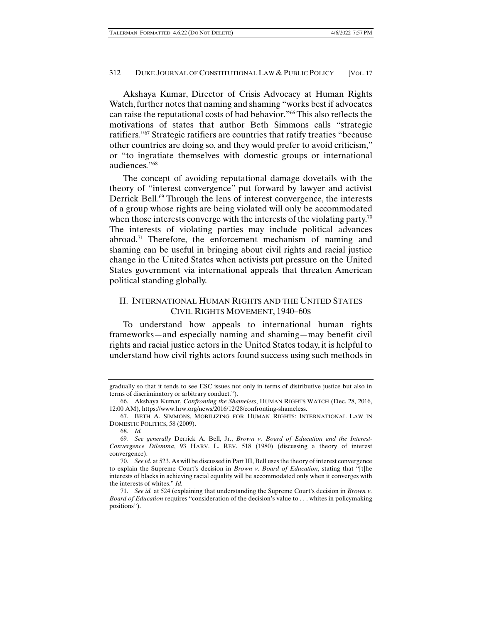Akshaya Kumar, Director of Crisis Advocacy at Human Rights Watch, further notes that naming and shaming "works best if advocates can raise the reputational costs of bad behavior."66 This also reflects the motivations of states that author Beth Simmons calls "strategic ratifiers."67 Strategic ratifiers are countries that ratify treaties "because other countries are doing so, and they would prefer to avoid criticism," or "to ingratiate themselves with domestic groups or international audiences."68

The concept of avoiding reputational damage dovetails with the theory of "interest convergence" put forward by lawyer and activist Derrick Bell.<sup>69</sup> Through the lens of interest convergence, the interests of a group whose rights are being violated will only be accommodated when those interests converge with the interests of the violating party.<sup>70</sup> The interests of violating parties may include political advances abroad.<sup>71</sup> Therefore, the enforcement mechanism of naming and shaming can be useful in bringing about civil rights and racial justice change in the United States when activists put pressure on the United States government via international appeals that threaten American political standing globally.

# II. INTERNATIONAL HUMAN RIGHTS AND THE UNITED STATES CIVIL RIGHTS MOVEMENT, 1940–60S

To understand how appeals to international human rights frameworks—and especially naming and shaming—may benefit civil rights and racial justice actors in the United States today, it is helpful to understand how civil rights actors found success using such methods in

gradually so that it tends to see ESC issues not only in terms of distributive justice but also in terms of discriminatory or arbitrary conduct.").

 <sup>66.</sup> Akshaya Kumar, *Confronting the Shameless*, HUMAN RIGHTS WATCH (Dec. 28, 2016, 12:00 AM), https://www.hrw.org/news/2016/12/28/confronting-shameless.

 <sup>67.</sup> BETH A. SIMMONS, MOBILIZING FOR HUMAN RIGHTS: INTERNATIONAL LAW IN DOMESTIC POLITICS, 58 (2009).

 <sup>68.</sup> *Id.*

<sup>69</sup>*. See generally* Derrick A. Bell, Jr., *Brown v. Board of Education and the Interest-Convergence Dilemma*, 93 HARV. L. REV. 518 (1980) (discussing a theory of interest convergence).

 <sup>70.</sup> *See id.* at 523. As will be discussed in Part III, Bell uses the theory of interest convergence to explain the Supreme Court's decision in *Brown v. Board of Education*, stating that "[t]he interests of blacks in achieving racial equality will be accommodated only when it converges with the interests of whites." *Id.* 

 <sup>71.</sup> *See id.* at 524 (explaining that understanding the Supreme Court's decision in *Brown v. Board of Education* requires "consideration of the decision's value to . . . whites in policymaking positions").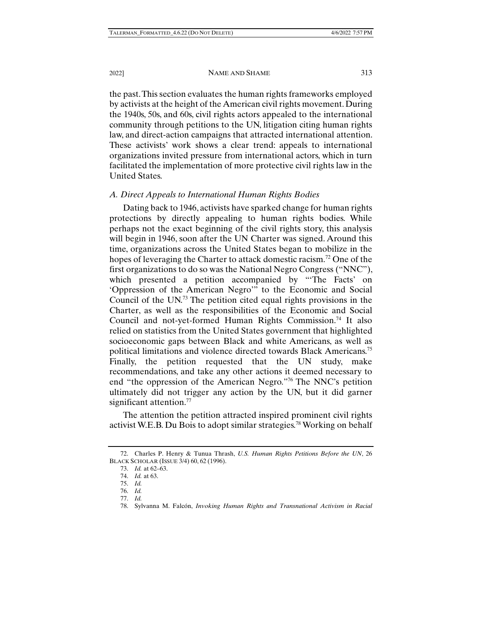the past. This section evaluates the human rights frameworks employed by activists at the height of the American civil rights movement. During the 1940s, 50s, and 60s, civil rights actors appealed to the international community through petitions to the UN, litigation citing human rights law, and direct-action campaigns that attracted international attention. These activists' work shows a clear trend: appeals to international organizations invited pressure from international actors, which in turn facilitated the implementation of more protective civil rights law in the United States.

### *A. Direct Appeals to International Human Rights Bodies*

Dating back to 1946, activists have sparked change for human rights protections by directly appealing to human rights bodies. While perhaps not the exact beginning of the civil rights story, this analysis will begin in 1946, soon after the UN Charter was signed. Around this time, organizations across the United States began to mobilize in the hopes of leveraging the Charter to attack domestic racism.<sup>72</sup> One of the first organizations to do so was the National Negro Congress ("NNC"), which presented a petition accompanied by "The Facts' on 'Oppression of the American Negro'" to the Economic and Social Council of the UN.73 The petition cited equal rights provisions in the Charter, as well as the responsibilities of the Economic and Social Council and not-yet-formed Human Rights Commission.<sup>74</sup> It also relied on statistics from the United States government that highlighted socioeconomic gaps between Black and white Americans, as well as political limitations and violence directed towards Black Americans.75 Finally, the petition requested that the UN study, make recommendations, and take any other actions it deemed necessary to end "the oppression of the American Negro."76 The NNC's petition ultimately did not trigger any action by the UN, but it did garner significant attention.<sup>77</sup>

The attention the petition attracted inspired prominent civil rights activist W.E.B. Du Bois to adopt similar strategies.<sup>78</sup> Working on behalf

 <sup>72.</sup> Charles P. Henry & Tunua Thrash, *U.S. Human Rights Petitions Before the UN*, 26 BLACK SCHOLAR (ISSUE 3/4) 60, 62 (1996).

 <sup>73.</sup> *Id.* at 62–63.

 <sup>74.</sup> *Id.* at 63.

 <sup>75.</sup> *Id.*

 <sup>76.</sup> *Id.* 77. *Id.*

 <sup>78.</sup> Sylvanna M. Falcón, *Invoking Human Rights and Transnational Activism in Racial*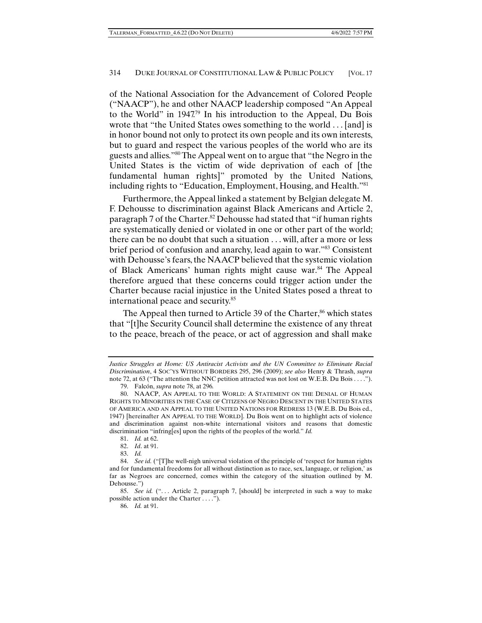of the National Association for the Advancement of Colored People ("NAACP"), he and other NAACP leadership composed "An Appeal to the World" in  $1947^{79}$  In his introduction to the Appeal, Du Bois wrote that "the United States owes something to the world . . . [and] is in honor bound not only to protect its own people and its own interests, but to guard and respect the various peoples of the world who are its guests and allies."80 The Appeal went on to argue that "the Negro in the United States is the victim of wide deprivation of each of [the fundamental human rights]" promoted by the United Nations, including rights to "Education, Employment, Housing, and Health."81

Furthermore, the Appeal linked a statement by Belgian delegate M. F. Dehousse to discrimination against Black Americans and Article 2, paragraph 7 of the Charter.<sup>82</sup> Dehousse had stated that "if human rights" are systematically denied or violated in one or other part of the world; there can be no doubt that such a situation . . . will, after a more or less brief period of confusion and anarchy, lead again to war."83 Consistent with Dehousse's fears, the NAACP believed that the systemic violation of Black Americans' human rights might cause war.<sup>84</sup> The Appeal therefore argued that these concerns could trigger action under the Charter because racial injustice in the United States posed a threat to international peace and security.85

The Appeal then turned to Article 39 of the Charter,<sup>86</sup> which states that "[t]he Security Council shall determine the existence of any threat to the peace, breach of the peace, or act of aggression and shall make

Justice Struggles at Home: US Antiracist Activists and the UN Committee to Eliminate Racial *Discrimination*, 4 SOC'YS WITHOUT BORDERS 295, 296 (2009); *see also* Henry & Thrash, *supra* note 72, at 63 ("The attention the NNC petition attracted was not lost on W.E.B. Du Bois . . . .").

 <sup>79.</sup> Falcón, *supra* note 78, at 296*.*

 <sup>80.</sup> NAACP, AN APPEAL TO THE WORLD: A STATEMENT ON THE DENIAL OF HUMAN RIGHTS TO MINORITIES IN THE CASE OF CITIZENS OF NEGRO DESCENT IN THE UNITED STATES OF AMERICA AND AN APPEAL TO THE UNITED NATIONS FOR REDRESS 13 (W.E.B. Du Bois ed., 1947) [hereinafter AN APPEAL TO THE WORLD]. Du Bois went on to highlight acts of violence and discrimination against non-white international visitors and reasons that domestic discrimination "infring[es] upon the rights of the peoples of the world." *Id.*

 <sup>81.</sup> *Id.* at 62.

 <sup>82.</sup> *Id*. at 91.

 <sup>83.</sup> *Id.*

 <sup>84.</sup> *See id.* ("[T]he well-nigh universal violation of the principle of 'respect for human rights and for fundamental freedoms for all without distinction as to race, sex, language, or religion,' as far as Negroes are concerned, comes within the category of the situation outlined by M. Dehousse.")

 <sup>85.</sup> *See id.* (". . . Article 2, paragraph 7, [should] be interpreted in such a way to make possible action under the Charter . . . .").

 <sup>86.</sup> *Id.* at 91.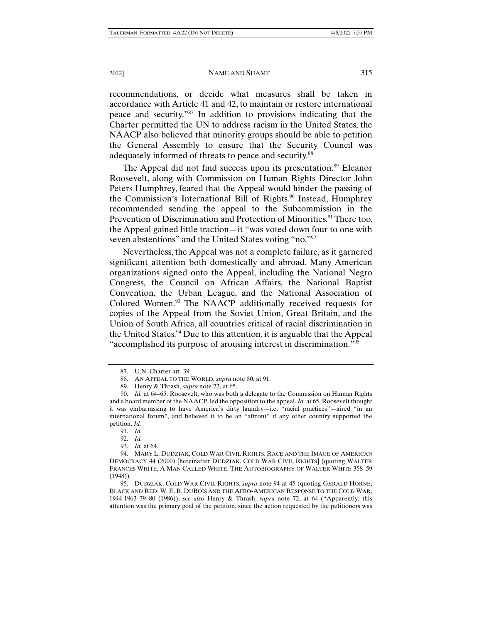#### 2022] NAME AND SHAME 315

recommendations, or decide what measures shall be taken in accordance with Article 41 and 42, to maintain or restore international peace and security."87 In addition to provisions indicating that the Charter permitted the UN to address racism in the United States, the NAACP also believed that minority groups should be able to petition the General Assembly to ensure that the Security Council was adequately informed of threats to peace and security.<sup>88</sup>

The Appeal did not find success upon its presentation.<sup>89</sup> Eleanor Roosevelt, along with Commission on Human Rights Director John Peters Humphrey, feared that the Appeal would hinder the passing of the Commission's International Bill of Rights.<sup>90</sup> Instead, Humphrey recommended sending the appeal to the Subcommission in the Prevention of Discrimination and Protection of Minorities.<sup>91</sup> There too, the Appeal gained little traction—it "was voted down four to one with seven abstentions" and the United States voting "no."<sup>92</sup>

Nevertheless, the Appeal was not a complete failure, as it garnered significant attention both domestically and abroad. Many American organizations signed onto the Appeal, including the National Negro Congress, the Council on African Affairs, the National Baptist Convention, the Urban League, and the National Association of Colored Women.<sup>93</sup> The NAACP additionally received requests for copies of the Appeal from the Soviet Union, Great Britain, and the Union of South Africa, all countries critical of racial discrimination in the United States.<sup>94</sup> Due to this attention, it is arguable that the Appeal "accomplished its purpose of arousing interest in discrimination."95

 <sup>87.</sup> U.N. Charter art. 39.

 <sup>88.</sup> AN APPEAL TO THE WORLD, *supra* note 80, at 91.

 <sup>89.</sup> Henry & Thrash, *supra* note 72, at 65.

 <sup>90.</sup> *Id.* at 64–65. Roosevelt, who was both a delegate to the Commission on Human Rights and a board member of the NAACP, led the opposition to the appeal. *Id.* at 65. Roosevelt thought it was embarrassing to have America's dirty laundry—i.e. "racial practices"—aired "in an international forum", and believed it to be an "affront" if any other country supported the petition. *Id.*

 <sup>91.</sup> *Id.*

 <sup>92.</sup> *Id.*

 <sup>93.</sup> *Id.* at 64.

 <sup>94.</sup> MARY L. DUDZIAK, COLD WAR CIVIL RIGHTS: RACE AND THE IMAGE OF AMERICAN DEMOCRACY 44 (2000) [hereinafter DUDZIAK, COLD WAR CIVIL RIGHTS] (quoting WALTER FRANCES WHITE, A MAN CALLED WHITE: THE AUTOBIOGRAPHY OF WALTER WHITE 358–59 (1948)).

 <sup>95.</sup> DUDZIAK, COLD WAR CIVIL RIGHTS, *supra* note 94 at 45 (quoting GERALD HORNE, BLACK AND RED: W. E. B. DUBOIS AND THE AFRO-AMERICAN RESPONSE TO THE COLD WAR, 1944-1963 79–80 (1986)); *see also* Henry & Thrash, *supra* note 72, at 64 ("Apparently, this attention was the primary goal of the petition, since the action requested by the petitioners was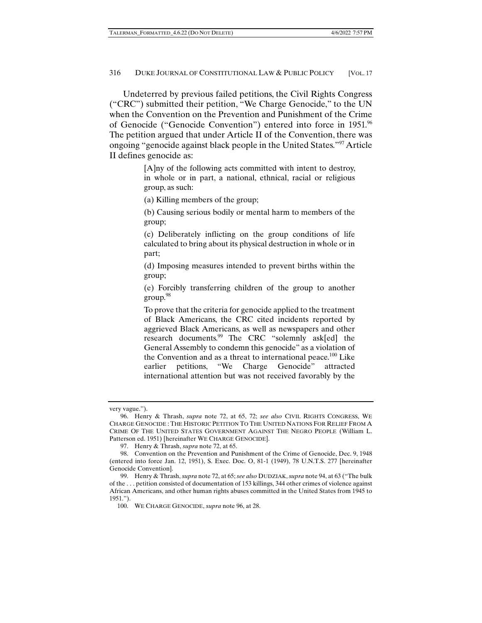Undeterred by previous failed petitions, the Civil Rights Congress ("CRC") submitted their petition, "We Charge Genocide," to the UN when the Convention on the Prevention and Punishment of the Crime of Genocide ("Genocide Convention") entered into force in 1951.96 The petition argued that under Article II of the Convention, there was ongoing "genocide against black people in the United States."97 Article II defines genocide as:

> [A]ny of the following acts committed with intent to destroy, in whole or in part, a national, ethnical, racial or religious group, as such:

(a) Killing members of the group;

(b) Causing serious bodily or mental harm to members of the group;

(c) Deliberately inflicting on the group conditions of life calculated to bring about its physical destruction in whole or in part;

(d) Imposing measures intended to prevent births within the group;

(e) Forcibly transferring children of the group to another group.<sup>98</sup>

To prove that the criteria for genocide applied to the treatment of Black Americans, the CRC cited incidents reported by aggrieved Black Americans, as well as newspapers and other research documents.<sup>99</sup> The CRC "solemnly ask[ed] the General Assembly to condemn this genocide" as a violation of the Convention and as a threat to international peace.<sup>100</sup> Like earlier petitions, "We Charge Genocide" attracted international attention but was not received favorably by the

very vague.").

 <sup>96.</sup> Henry & Thrash, *supra* note 72, at 65, 72; *see also* CIVIL RIGHTS CONGRESS, WE CHARGE GENOCIDE : THE HISTORIC PETITION TO THE UNITED NATIONS FOR RELIEF FROM A CRIME OF THE UNITED STATES GOVERNMENT AGAINST THE NEGRO PEOPLE (William L. Patterson ed. 1951) [hereinafter WE CHARGE GENOCIDE].

 <sup>97.</sup> Henry & Thrash, *supra* note 72, at 65.

 <sup>98.</sup> Convention on the Prevention and Punishment of the Crime of Genocide, Dec. 9, 1948 (entered into force Jan. 12, 1951), S. Exec. Doc. O, 81-1 (1949), 78 U.N.T.S. 277 [hereinafter Genocide Convention].

 <sup>99.</sup> Henry & Thrash, *supra* note 72, at 65; *see also* DUDZIAK, *supra* note 94, at 63 ("The bulk of the . . . petition consisted of documentation of 153 killings, 344 other crimes of violence against African Americans, and other human rights abuses committed in the United States from 1945 to 1951.").

 <sup>100.</sup> WE CHARGE GENOCIDE, *supra* note 96, at 28.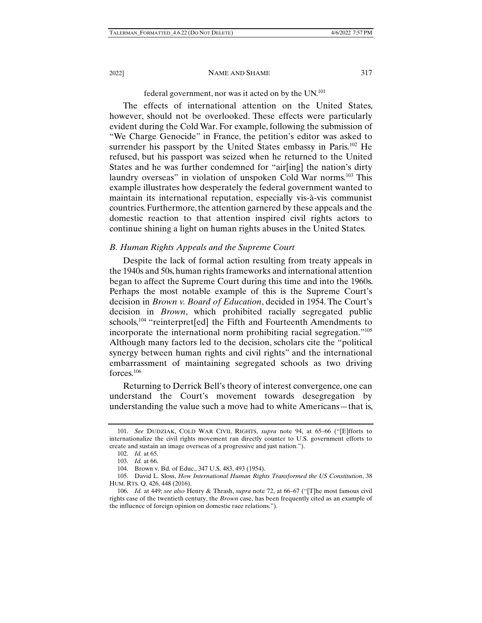### federal government, nor was it acted on by the  $UN^{101}$

The effects of international attention on the United States, however, should not be overlooked. These effects were particularly evident during the Cold War. For example, following the submission of "We Charge Genocide" in France, the petition's editor was asked to surrender his passport by the United States embassy in Paris.<sup>102</sup> He refused, but his passport was seized when he returned to the United States and he was further condemned for "air[ing] the nation's dirty laundry overseas" in violation of unspoken Cold War norms.<sup>103</sup> This example illustrates how desperately the federal government wanted to maintain its international reputation, especially vis-à-vis communist countries. Furthermore, the attention garnered by these appeals and the domestic reaction to that attention inspired civil rights actors to continue shining a light on human rights abuses in the United States.

### *B. Human Rights Appeals and the Supreme Court*

Despite the lack of formal action resulting from treaty appeals in the 1940s and 50s, human rights frameworks and international attention began to affect the Supreme Court during this time and into the 1960s. Perhaps the most notable example of this is the Supreme Court's decision in *Brown v. Board of Education*, decided in 1954. The Court's decision in *Brown*, which prohibited racially segregated public schools,<sup>104</sup> "reinterpret[ed] the Fifth and Fourteenth Amendments to incorporate the international norm prohibiting racial segregation."105 Although many factors led to the decision, scholars cite the "political synergy between human rights and civil rights" and the international embarrassment of maintaining segregated schools as two driving forces.106

Returning to Derrick Bell's theory of interest convergence, one can understand the Court's movement towards desegregation by understanding the value such a move had to white Americans—that is,

 <sup>101.</sup> *See* DUDZIAK, COLD WAR CIVIL RIGHTS, *supra* note 94, at 65–66 ("[E]fforts to internationalize the civil rights movement ran directly counter to U.S. government efforts to create and sustain an image overseas of a progressive and just nation.").

 <sup>102.</sup> *Id.* at 65.

 <sup>103.</sup> *Id.* at 66.

 <sup>104.</sup> Brown v. Bd. of Educ., 347 U.S. 483, 493 (1954).

 <sup>105.</sup> David L. Sloss, *How International Human Rights Transformed the US Constitution*, 38 HUM. RTS. Q. 426, 448 (2016).

 <sup>106.</sup> *Id.* at 449; *see also* Henry & Thrash, *supra* note 72, at 66–67 ("[T]he most famous civil rights case of the twentieth century, the *Brown* case, has been frequently cited as an example of the influence of foreign opinion on domestic race relations.").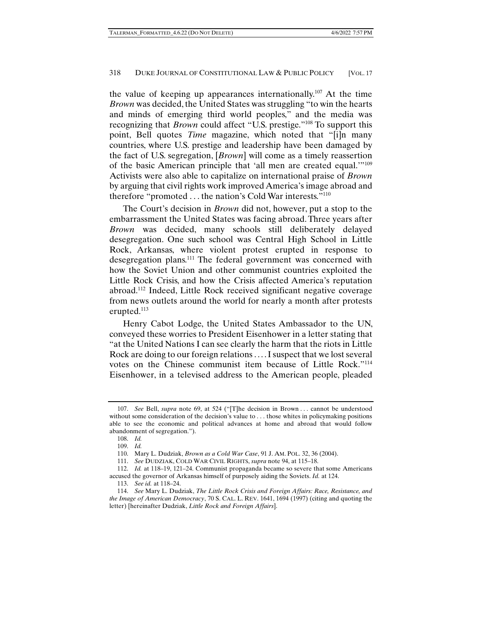the value of keeping up appearances internationally.<sup>107</sup> At the time *Brown* was decided, the United States was struggling "to win the hearts and minds of emerging third world peoples," and the media was recognizing that *Brown* could affect "U.S. prestige."108 To support this point, Bell quotes *Time* magazine, which noted that "[i]n many countries, where U.S. prestige and leadership have been damaged by the fact of U.S. segregation, [*Brown*] will come as a timely reassertion of the basic American principle that 'all men are created equal.'"109 Activists were also able to capitalize on international praise of *Brown* by arguing that civil rights work improved America's image abroad and therefore "promoted ... the nation's Cold War interests."<sup>110</sup>

The Court's decision in *Brown* did not, however, put a stop to the embarrassment the United States was facing abroad. Three years after *Brown* was decided, many schools still deliberately delayed desegregation. One such school was Central High School in Little Rock, Arkansas, where violent protest erupted in response to desegregation plans.<sup>111</sup> The federal government was concerned with how the Soviet Union and other communist countries exploited the Little Rock Crisis, and how the Crisis affected America's reputation abroad.112 Indeed, Little Rock received significant negative coverage from news outlets around the world for nearly a month after protests erupted.<sup>113</sup>

Henry Cabot Lodge, the United States Ambassador to the UN, conveyed these worries to President Eisenhower in a letter stating that "at the United Nations I can see clearly the harm that the riots in Little Rock are doing to our foreign relations .... I suspect that we lost several votes on the Chinese communist item because of Little Rock."114 Eisenhower, in a televised address to the American people, pleaded

 <sup>107.</sup> *See* Bell, *supra* note 69, at 524 ("[T]he decision in Brown . . . cannot be understood without some consideration of the decision's value to ... those whites in policymaking positions able to see the economic and political advances at home and abroad that would follow abandonment of segregation.").

 <sup>108.</sup> *Id.*

 <sup>109.</sup> *Id.* 

 <sup>110.</sup> Mary L. Dudziak, *Brown as a Cold War Case*, 91 J. AM. POL. 32, 36 (2004).

 <sup>111.</sup> *See* DUDZIAK, COLD WAR CIVIL RIGHTS, *supra* note 94, at 115–18.

 <sup>112.</sup> *Id.* at 118–19, 121–24. Communist propaganda became so severe that some Americans accused the governor of Arkansas himself of purposely aiding the Soviets. *Id.* at 124.

 <sup>113.</sup> *See id.* at 118–24.

 <sup>114.</sup> *See* Mary L. Dudziak, *The Little Rock Crisis and Foreign Affairs: Race, Resistance, and the Image of American Democracy*, 70 S. CAL. L. REV. 1641, 1694 (1997) (citing and quoting the letter) [hereinafter Dudziak, *Little Rock and Foreign Affairs*].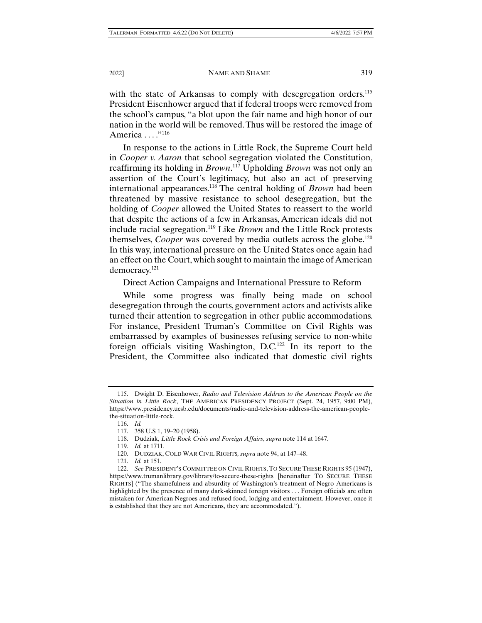with the state of Arkansas to comply with desegregation orders.<sup>115</sup> President Eisenhower argued that if federal troops were removed from the school's campus, "a blot upon the fair name and high honor of our nation in the world will be removed. Thus will be restored the image of America . . . . . . . . 116

In response to the actions in Little Rock, the Supreme Court held in *Cooper v. Aaron* that school segregation violated the Constitution, reaffirming its holding in *Brown*. 117 Upholding *Brown* was not only an assertion of the Court's legitimacy, but also an act of preserving international appearances.118 The central holding of *Brown* had been threatened by massive resistance to school desegregation, but the holding of *Cooper* allowed the United States to reassert to the world that despite the actions of a few in Arkansas, American ideals did not include racial segregation.119 Like *Brown* and the Little Rock protests themselves, *Cooper* was covered by media outlets across the globe.<sup>120</sup> In this way, international pressure on the United States once again had an effect on the Court, which sought to maintain the image of American democracy.121

Direct Action Campaigns and International Pressure to Reform

While some progress was finally being made on school desegregation through the courts, government actors and activists alike turned their attention to segregation in other public accommodations. For instance, President Truman's Committee on Civil Rights was embarrassed by examples of businesses refusing service to non-white foreign officials visiting Washington, D.C.122 In its report to the President, the Committee also indicated that domestic civil rights

 <sup>115.</sup> Dwight D. Eisenhower, *Radio and Television Address to the American People on the Situation in Little Rock*, THE AMERICAN PRESIDENCY PROJECT (Sept. 24, 1957, 9:00 PM), https://www.presidency.ucsb.edu/documents/radio-and-television-address-the-american-peoplethe-situation-little-rock.

 <sup>116.</sup> *Id.*

 <sup>117. 358</sup> U.S 1, 19–20 (1958).

 <sup>118.</sup> Dudziak, *Little Rock Crisis and Foreign Affairs*, *supra* note 114 at 1647.

 <sup>119.</sup> *Id.* at 1711.

 <sup>120.</sup> DUDZIAK, COLD WAR CIVIL RIGHTS*, supra* note 94, at 147–48.

 <sup>121.</sup> *Id.* at 151.

 <sup>122.</sup> *See* PRESIDENT'S COMMITTEE ON CIVIL RIGHTS, TO SECURE THESE RIGHTS 95 (1947), https://www.trumanlibrary.gov/library/to-secure-these-rights [hereinafter TO SECURE THESE RIGHTS] ("The shamefulness and absurdity of Washington's treatment of Negro Americans is highlighted by the presence of many dark-skinned foreign visitors . . . Foreign officials are often mistaken for American Negroes and refused food, lodging and entertainment. However, once it is established that they are not Americans, they are accommodated.").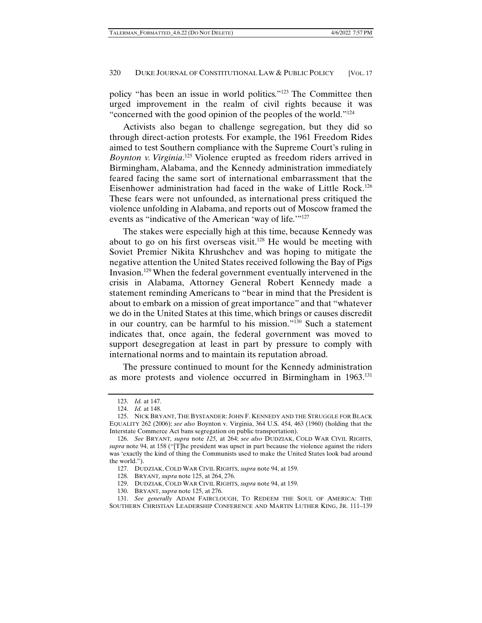policy "has been an issue in world politics."123 The Committee then urged improvement in the realm of civil rights because it was "concerned with the good opinion of the peoples of the world."124

Activists also began to challenge segregation, but they did so through direct-action protests. For example, the 1961 Freedom Rides aimed to test Southern compliance with the Supreme Court's ruling in *Boynton v. Virginia*. 125 Violence erupted as freedom riders arrived in Birmingham, Alabama, and the Kennedy administration immediately feared facing the same sort of international embarrassment that the Eisenhower administration had faced in the wake of Little Rock.126 These fears were not unfounded, as international press critiqued the violence unfolding in Alabama, and reports out of Moscow framed the events as "indicative of the American 'way of life.'"127

The stakes were especially high at this time, because Kennedy was about to go on his first overseas visit.<sup>128</sup> He would be meeting with Soviet Premier Nikita Khrushchev and was hoping to mitigate the negative attention the United States received following the Bay of Pigs Invasion.129 When the federal government eventually intervened in the crisis in Alabama, Attorney General Robert Kennedy made a statement reminding Americans to "bear in mind that the President is about to embark on a mission of great importance" and that "whatever we do in the United States at this time, which brings or causes discredit in our country, can be harmful to his mission."130 Such a statement indicates that, once again, the federal government was moved to support desegregation at least in part by pressure to comply with international norms and to maintain its reputation abroad.

The pressure continued to mount for the Kennedy administration as more protests and violence occurred in Birmingham in 1963.131

127. DUDZIAK, COLD WAR CIVIL RIGHTS, *supra* note 94, at 159.

128. BRYANT*, supra* note 125, at 264, 276.

129. DUDZIAK, COLD WAR CIVIL RIGHTS, *supra* note 94, at 159.

130. BRYANT, *supra* note 125, at 276.

 <sup>123.</sup> *Id.* at 147.

 <sup>124.</sup> *Id.* at 148.

 <sup>125.</sup> NICK BRYANT, THE BYSTANDER: JOHN F. KENNEDY AND THE STRUGGLE FOR BLACK EQUALITY 262 (2006); *see also* Boynton v. Virginia, 364 U.S. 454, 463 (1960) (holding that the Interstate Commerce Act bans segregation on public transportation).

 <sup>126.</sup> *See* BRYANT*, supra* note *125,* at 264; *see also* DUDZIAK, COLD WAR CIVIL RIGHTS, *supra* note 94, at 158 ("[T]he president was upset in part because the violence against the riders was 'exactly the kind of thing the Communists used to make the United States look bad around the world.").

 <sup>131.</sup> *See generally* ADAM FAIRCLOUGH, TO REDEEM THE SOUL OF AMERICA: THE SOUTHERN CHRISTIAN LEADERSHIP CONFERENCE AND MARTIN LUTHER KING, JR. 111–139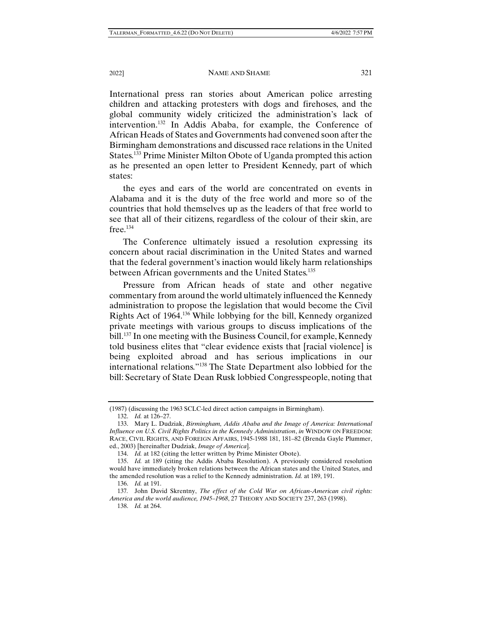International press ran stories about American police arresting children and attacking protesters with dogs and firehoses, and the global community widely criticized the administration's lack of intervention.132 In Addis Ababa, for example, the Conference of African Heads of States and Governments had convened soon after the Birmingham demonstrations and discussed race relations in the United States.133 Prime Minister Milton Obote of Uganda prompted this action as he presented an open letter to President Kennedy, part of which states:

the eyes and ears of the world are concentrated on events in Alabama and it is the duty of the free world and more so of the countries that hold themselves up as the leaders of that free world to see that all of their citizens, regardless of the colour of their skin, are  $free.<sup>134</sup>$ 

The Conference ultimately issued a resolution expressing its concern about racial discrimination in the United States and warned that the federal government's inaction would likely harm relationships between African governments and the United States.<sup>135</sup>

Pressure from African heads of state and other negative commentary from around the world ultimately influenced the Kennedy administration to propose the legislation that would become the Civil Rights Act of 1964.136 While lobbying for the bill, Kennedy organized private meetings with various groups to discuss implications of the bill.<sup>137</sup> In one meeting with the Business Council, for example, Kennedy told business elites that "clear evidence exists that [racial violence] is being exploited abroad and has serious implications in our international relations."138 The State Department also lobbied for the bill: Secretary of State Dean Rusk lobbied Congresspeople, noting that

<sup>(1987) (</sup>discussing the 1963 SCLC-led direct action campaigns in Birmingham).

 <sup>132.</sup> *Id.* at 126–27.

 <sup>133.</sup> Mary L. Dudziak, *Birmingham, Addis Ababa and the Image of America: International Influence on U.S. Civil Rights Politics in the Kennedy Administration*, *in* WINDOW ON FREEDOM: RACE, CIVIL RIGHTS, AND FOREIGN AFFAIRS, 1945-1988 181, 181–82 (Brenda Gayle Plummer, ed., 2003) [hereinafter Dudziak, *Image of America*].

 <sup>134.</sup> *Id.* at 182 (citing the letter written by Prime Minister Obote).

 <sup>135.</sup> *Id.* at 189 (citing the Addis Ababa Resolution). A previously considered resolution would have immediately broken relations between the African states and the United States, and the amended resolution was a relief to the Kennedy administration. *Id.* at 189, 191.

 <sup>136.</sup> *Id.* at 191.

<sup>137</sup>*.* John David Skrentny, *The effect of the Cold War on African-American civil rights: America and the world audience, 1945–1968*, 27 THEORY AND SOCIETY 237, 263 (1998).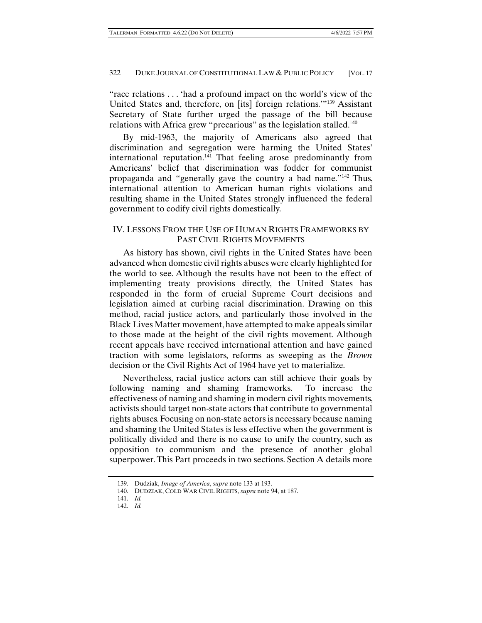"race relations . . . 'had a profound impact on the world's view of the United States and, therefore, on [its] foreign relations.'"139 Assistant Secretary of State further urged the passage of the bill because relations with Africa grew "precarious" as the legislation stalled.<sup>140</sup>

By mid-1963, the majority of Americans also agreed that discrimination and segregation were harming the United States' international reputation.<sup>141</sup> That feeling arose predominantly from Americans' belief that discrimination was fodder for communist propaganda and "generally gave the country a bad name."142 Thus, international attention to American human rights violations and resulting shame in the United States strongly influenced the federal government to codify civil rights domestically.

# IV. LESSONS FROM THE USE OF HUMAN RIGHTS FRAMEWORKS BY PAST CIVIL RIGHTS MOVEMENTS

As history has shown, civil rights in the United States have been advanced when domestic civil rights abuses were clearly highlighted for the world to see. Although the results have not been to the effect of implementing treaty provisions directly, the United States has responded in the form of crucial Supreme Court decisions and legislation aimed at curbing racial discrimination. Drawing on this method, racial justice actors, and particularly those involved in the Black Lives Matter movement, have attempted to make appeals similar to those made at the height of the civil rights movement. Although recent appeals have received international attention and have gained traction with some legislators, reforms as sweeping as the *Brown* decision or the Civil Rights Act of 1964 have yet to materialize.

Nevertheless, racial justice actors can still achieve their goals by following naming and shaming frameworks. To increase the effectiveness of naming and shaming in modern civil rights movements, activists should target non-state actors that contribute to governmental rights abuses. Focusing on non-state actors is necessary because naming and shaming the United States is less effective when the government is politically divided and there is no cause to unify the country, such as opposition to communism and the presence of another global superpower. This Part proceeds in two sections. Section A details more

 <sup>139.</sup> Dudziak, *Image of America*, *supra* note 133 at 193.

 <sup>140.</sup> DUDZIAK, COLD WAR CIVIL RIGHTS, *supra* note 94, at 187.

 <sup>141.</sup> *Id.*

 <sup>142.</sup> *Id.*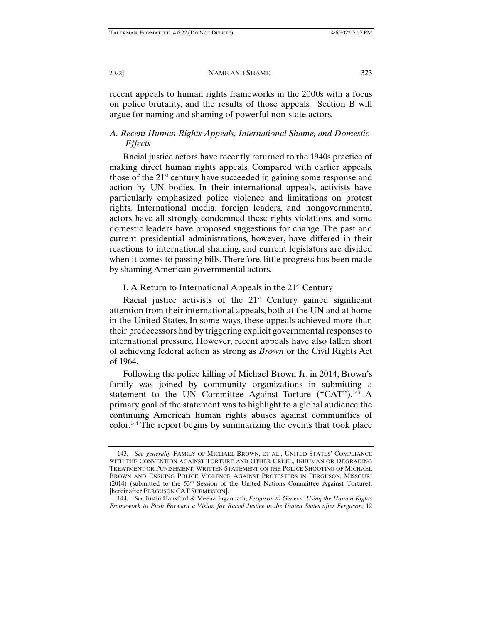recent appeals to human rights frameworks in the 2000s with a focus on police brutality, and the results of those appeals. Section B will argue for naming and shaming of powerful non-state actors.

# *A. Recent Human Rights Appeals, International Shame, and Domestic Effects*

Racial justice actors have recently returned to the 1940s practice of making direct human rights appeals. Compared with earlier appeals, those of the 21st century have succeeded in gaining some response and action by UN bodies. In their international appeals, activists have particularly emphasized police violence and limitations on protest rights. International media, foreign leaders, and nongovernmental actors have all strongly condemned these rights violations, and some domestic leaders have proposed suggestions for change. The past and current presidential administrations, however, have differed in their reactions to international shaming, and current legislators are divided when it comes to passing bills. Therefore, little progress has been made by shaming American governmental actors.

# I. A Return to International Appeals in the  $21<sup>st</sup>$  Century

Racial justice activists of the  $21<sup>st</sup>$  Century gained significant attention from their international appeals, both at the UN and at home in the United States. In some ways, these appeals achieved more than their predecessors had by triggering explicit governmental responses to international pressure. However, recent appeals have also fallen short of achieving federal action as strong as *Brown* or the Civil Rights Act of 1964.

Following the police killing of Michael Brown Jr. in 2014, Brown's family was joined by community organizations in submitting a statement to the UN Committee Against Torture ("CAT").<sup>143</sup> A primary goal of the statement was to highlight to a global audience the continuing American human rights abuses against communities of color.144 The report begins by summarizing the events that took place

 <sup>143.</sup> *See generally* FAMILY OF MICHAEL BROWN, ET AL., UNITED STATES' COMPLIANCE WITH THE CONVENTION AGAINST TORTURE AND OTHER CRUEL, INHUMAN OR DEGRADING TREATMENT OR PUNISHMENT: WRITTEN STATEMENT ON THE POLICE SHOOTING OF MICHAEL BROWN AND ENSUING POLICE VIOLENCE AGAINST PROTESTERS IN FERGUSON, MISSOURI (2014) (submitted to the 53rd Session of the United Nations Committee Against Torture). [hereinafter FERGUSON CAT SUBMISSION].

 <sup>144.</sup> *See* Justin Hansford & Meena Jagannath, *Ferguson to Geneva: Using the Human Rights Framework to Push Forward a Vision for Racial Justice in the United States after Ferguson*, 12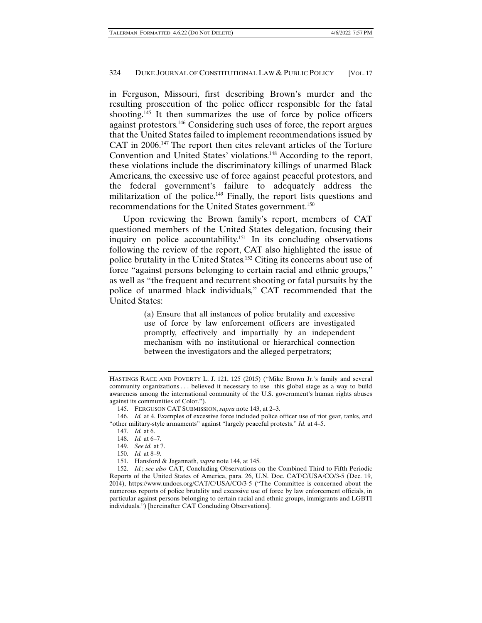in Ferguson, Missouri, first describing Brown's murder and the resulting prosecution of the police officer responsible for the fatal shooting.<sup>145</sup> It then summarizes the use of force by police officers against protestors.146 Considering such uses of force, the report argues that the United States failed to implement recommendations issued by CAT in 2006.147 The report then cites relevant articles of the Torture Convention and United States' violations.<sup>148</sup> According to the report, these violations include the discriminatory killings of unarmed Black Americans, the excessive use of force against peaceful protestors, and the federal government's failure to adequately address the militarization of the police.<sup>149</sup> Finally, the report lists questions and recommendations for the United States government.<sup>150</sup>

Upon reviewing the Brown family's report, members of CAT questioned members of the United States delegation, focusing their inquiry on police accountability.<sup>151</sup> In its concluding observations following the review of the report, CAT also highlighted the issue of police brutality in the United States.152 Citing its concerns about use of force "against persons belonging to certain racial and ethnic groups," as well as "the frequent and recurrent shooting or fatal pursuits by the police of unarmed black individuals," CAT recommended that the United States:

> (a) Ensure that all instances of police brutality and excessive use of force by law enforcement officers are investigated promptly, effectively and impartially by an independent mechanism with no institutional or hierarchical connection between the investigators and the alleged perpetrators;

HASTINGS RACE AND POVERTY L. J. 121, 125 (2015) ("Mike Brown Jr.'s family and several community organizations . . . believed it necessary to use this global stage as a way to build awareness among the international community of the U.S. government's human rights abuses against its communities of Color.").

 <sup>145.</sup> FERGUSON CAT SUBMISSION, *supra* note 143, at 2–3.

 <sup>146.</sup> *Id.* at 4. Examples of excessive force included police officer use of riot gear, tanks, and "other military-style armaments" against "largely peaceful protests." *Id.* at 4–5.

 <sup>147.</sup> *Id.* at 6.

 <sup>148.</sup> *Id.* at 6–7.

 <sup>149.</sup> *See id.* at 7.

 <sup>150.</sup> *Id.* at 8–9.

 <sup>151.</sup> Hansford & Jagannath, *supra* note 144, at 145.

 <sup>152.</sup> *Id.*; *see also* CAT, Concluding Observations on the Combined Third to Fifth Periodic Reports of the United States of America, para. 26, U.N. Doc. CAT/C/USA/CO/3-5 (Dec. 19, 2014), https://www.undocs.org/CAT/C/USA/CO/3-5 ("The Committee is concerned about the numerous reports of police brutality and excessive use of force by law enforcement officials, in particular against persons belonging to certain racial and ethnic groups, immigrants and LGBTI individuals.") [hereinafter CAT Concluding Observations].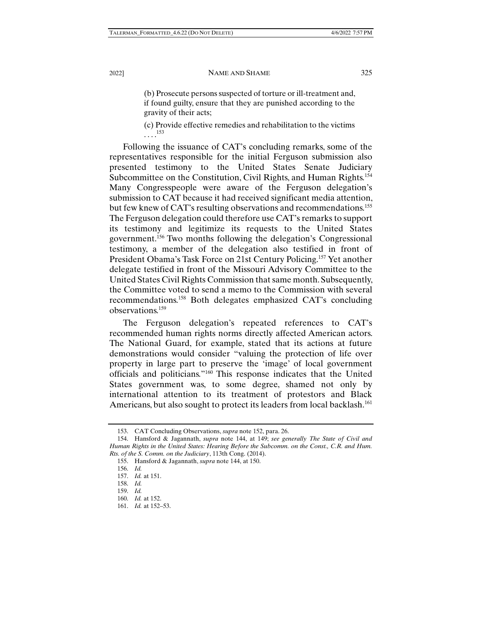(b) Prosecute persons suspected of torture or ill-treatment and, if found guilty, ensure that they are punished according to the gravity of their acts;

(c) Provide effective remedies and rehabilitation to the victims  $\frac{153}{2}$ 

Following the issuance of CAT's concluding remarks, some of the representatives responsible for the initial Ferguson submission also presented testimony to the United States Senate Judiciary Subcommittee on the Constitution, Civil Rights, and Human Rights.154 Many Congresspeople were aware of the Ferguson delegation's submission to CAT because it had received significant media attention, but few knew of CAT's resulting observations and recommendations.<sup>155</sup> The Ferguson delegation could therefore use CAT's remarks to support its testimony and legitimize its requests to the United States government.156 Two months following the delegation's Congressional testimony, a member of the delegation also testified in front of President Obama's Task Force on 21st Century Policing.157 Yet another delegate testified in front of the Missouri Advisory Committee to the United States Civil Rights Commission that same month. Subsequently, the Committee voted to send a memo to the Commission with several recommendations.158 Both delegates emphasized CAT's concluding observations.159

The Ferguson delegation's repeated references to CAT's recommended human rights norms directly affected American actors. The National Guard, for example, stated that its actions at future demonstrations would consider "valuing the protection of life over property in large part to preserve the 'image' of local government officials and politicians."160 This response indicates that the United States government was, to some degree, shamed not only by international attention to its treatment of protestors and Black Americans, but also sought to protect its leaders from local backlash.<sup>161</sup>

 <sup>153.</sup> CAT Concluding Observations, *supra* note 152, para. 26.

 <sup>154.</sup> Hansford & Jagannath, *supra* note 144, at 149; *see generally The State of Civil and Human Rights in the United States: Hearing Before the Subcomm. on the Const., C.R. and Hum. Rts. of the S. Comm. on the Judiciary*, 113th Cong. (2014).

 <sup>155.</sup> Hansford & Jagannath, *supra* note 144, at 150.

 <sup>156.</sup> *Id.*

 <sup>157.</sup> *Id.* at 151.

 <sup>158.</sup> *Id.*

 <sup>159.</sup> *Id.*

 <sup>160.</sup> *Id.* at 152.

 <sup>161.</sup> *Id.* at 152–53.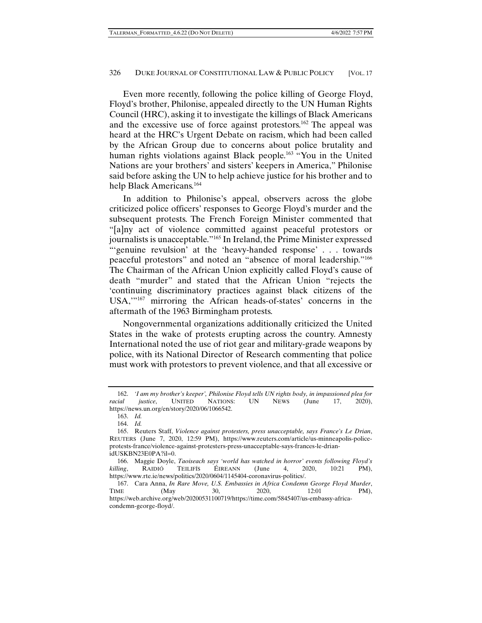Even more recently, following the police killing of George Floyd, Floyd's brother, Philonise, appealed directly to the UN Human Rights Council (HRC), asking it to investigate the killings of Black Americans and the excessive use of force against protestors.162 The appeal was heard at the HRC's Urgent Debate on racism, which had been called by the African Group due to concerns about police brutality and human rights violations against Black people.<sup>163</sup> "You in the United Nations are your brothers' and sisters' keepers in America," Philonise said before asking the UN to help achieve justice for his brother and to help Black Americans.<sup>164</sup>

In addition to Philonise's appeal, observers across the globe criticized police officers' responses to George Floyd's murder and the subsequent protests. The French Foreign Minister commented that "[a]ny act of violence committed against peaceful protestors or journalists is unacceptable."165 In Ireland, the Prime Minister expressed "'genuine revulsion' at the 'heavy-handed response' . . . towards peaceful protestors" and noted an "absence of moral leadership."166 The Chairman of the African Union explicitly called Floyd's cause of death "murder" and stated that the African Union "rejects the 'continuing discriminatory practices against black citizens of the USA,'"167 mirroring the African heads-of-states' concerns in the aftermath of the 1963 Birmingham protests.

Nongovernmental organizations additionally criticized the United States in the wake of protests erupting across the country. Amnesty International noted the use of riot gear and military-grade weapons by police, with its National Director of Research commenting that police must work with protestors to prevent violence, and that all excessive or

 <sup>162.</sup> *'I am my brother's keeper', Philonise Floyd tells UN rights body, in impassioned plea for racial justice*, UNITED NATIONS: UN NEWS (June 17, 2020), https://news.un.org/en/story/2020/06/1066542.

 <sup>163.</sup> *Id.*

 <sup>164.</sup> *Id.*

 <sup>165.</sup> Reuters Staff, *Violence against protesters, press unacceptable, says France's Le Drian*, REUTERS (June 7, 2020, 12:59 PM), https://www.reuters.com/article/us-minneapolis-policeprotests-france/violence-against-protesters-press-unacceptable-says-frances-le-drianidUSKBN23E0PA?il=0.

 <sup>166.</sup> Maggie Doyle, *Taoiseach says 'world has watched in horror' events following Floyd's killing*, RAIDIÓ TEILIFÍS ÉIREANN (June 4, 2020, 10:21 PM), https://www.rte.ie/news/politics/2020/0604/1145404-coronavirus-politics/.

 <sup>167.</sup> Cara Anna, *In Rare Move, U.S. Embassies in Africa Condemn George Floyd Murder*, TIME (May 30, 2020, 12:01 PM), https://web.archive.org/web/20200531100719/https://time.com/5845407/us-embassy-africacondemn-george-floyd/.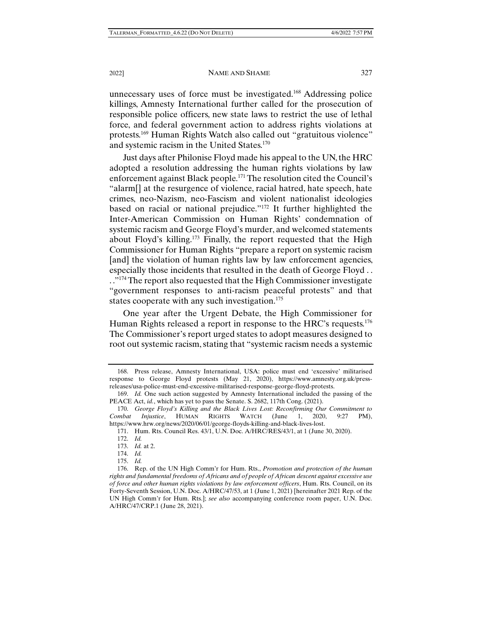unnecessary uses of force must be investigated.168 Addressing police killings, Amnesty International further called for the prosecution of responsible police officers, new state laws to restrict the use of lethal force, and federal government action to address rights violations at protests.169 Human Rights Watch also called out "gratuitous violence" and systemic racism in the United States.170

Just days after Philonise Floyd made his appeal to the UN, the HRC adopted a resolution addressing the human rights violations by law enforcement against Black people.171 The resolution cited the Council's "alarm[] at the resurgence of violence, racial hatred, hate speech, hate crimes, neo-Nazism, neo-Fascism and violent nationalist ideologies based on racial or national prejudice."172 It further highlighted the Inter-American Commission on Human Rights' condemnation of systemic racism and George Floyd's murder, and welcomed statements about Floyd's killing.<sup>173</sup> Finally, the report requested that the High Commissioner for Human Rights "prepare a report on systemic racism [and] the violation of human rights law by law enforcement agencies, especially those incidents that resulted in the death of George Floyd . . .."<sup>174</sup> The report also requested that the High Commissioner investigate "government responses to anti-racism peaceful protests" and that states cooperate with any such investigation. $175$ 

One year after the Urgent Debate, the High Commissioner for Human Rights released a report in response to the HRC's requests.<sup>176</sup> The Commissioner's report urged states to adopt measures designed to root out systemic racism, stating that "systemic racism needs a systemic

 <sup>168.</sup> Press release, Amnesty International, USA: police must end 'excessive' militarised response to George Floyd protests (May 21, 2020), https://www.amnesty.org.uk/pressreleases/usa-police-must-end-excessive-militarised-response-george-floyd-protests.

 <sup>169.</sup> *Id.* One such action suggested by Amnesty International included the passing of the PEACE Act, *id.*, which has yet to pass the Senate. S. 2682, 117th Cong. (2021).

 <sup>170.</sup> *George Floyd's Killing and the Black Lives Lost: Reconfirming Our Commitment to Combat Injustice*, HUMAN RIGHTS WATCH (June 1, 2020, 9:27 PM), https://www.hrw.org/news/2020/06/01/george-floyds-killing-and-black-lives-lost.

 <sup>171.</sup> Hum. Rts. Council Res. 43/1, U.N. Doc. A/HRC/RES/43/1, at 1 (June 30, 2020).

 <sup>172.</sup> *Id.*

 <sup>173.</sup> *Id.* at 2.

 <sup>174.</sup> *Id.*

 <sup>175.</sup> *Id.*

 <sup>176.</sup> Rep. of the UN High Comm'r for Hum. Rts., *Promotion and protection of the human rights and fundamental freedoms of Africans and of people of African descent against excessive use of force and other human rights violations by law enforcement officers*, Hum. Rts. Council, on its Forty-Seventh Session, U.N. Doc. A/HRC/47/53, at 1 (June 1, 2021) [hereinafter 2021 Rep. of the UN High Comm'r for Hum. Rts.]; *see also* accompanying conference room paper, U.N. Doc. A/HRC/47/CRP.1 (June 28, 2021).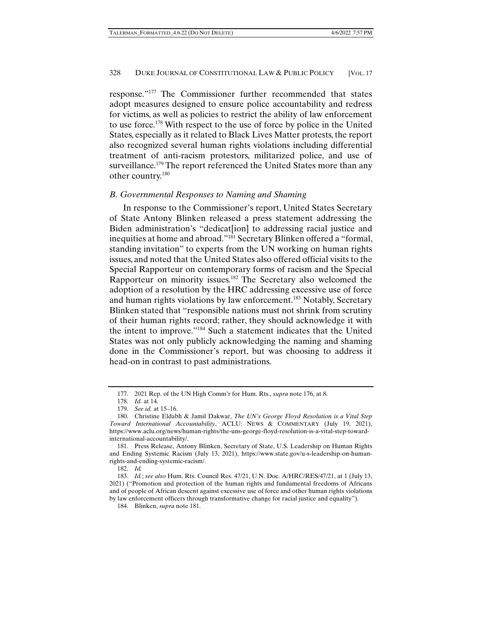response."177 The Commissioner further recommended that states adopt measures designed to ensure police accountability and redress for victims, as well as policies to restrict the ability of law enforcement to use force.178 With respect to the use of force by police in the United States, especially as it related to Black Lives Matter protests, the report also recognized several human rights violations including differential treatment of anti-racism protestors, militarized police, and use of surveillance.<sup>179</sup> The report referenced the United States more than any other country.180

### *B. Governmental Responses to Naming and Shaming*

In response to the Commissioner's report, United States Secretary of State Antony Blinken released a press statement addressing the Biden administration's "dedicat[ion] to addressing racial justice and inequities at home and abroad."181 Secretary Blinken offered a "formal, standing invitation" to experts from the UN working on human rights issues, and noted that the United States also offered official visits to the Special Rapporteur on contemporary forms of racism and the Special Rapporteur on minority issues.182 The Secretary also welcomed the adoption of a resolution by the HRC addressing excessive use of force and human rights violations by law enforcement.<sup>183</sup> Notably, Secretary Blinken stated that "responsible nations must not shrink from scrutiny of their human rights record; rather, they should acknowledge it with the intent to improve."184 Such a statement indicates that the United States was not only publicly acknowledging the naming and shaming done in the Commissioner's report, but was choosing to address it head-on in contrast to past administrations.

 <sup>177. 2021</sup> Rep. of the UN High Comm'r for Hum. Rts., *supra* note 176, at 8.

 <sup>178.</sup> *Id.* at 14.

 <sup>179.</sup> *See id.* at 15–16.

 <sup>180.</sup> Christine Eldabh & Jamil Dakwar, *The UN's George Floyd Resolution is a Vital Step Toward International Accountability*, ACLU: NEWS & COMMENTARY (July 19, 2021), https://www.aclu.org/news/human-rights/the-uns-george-floyd-resolution-is-a-vital-step-towardinternational-accountability/.

 <sup>181.</sup> Press Release, Antony Blinken, Secretary of State, U.S. Leadership on Human Rights and Ending Systemic Racism (July 13, 2021), https://www.state.gov/u-s-leadership-on-humanrights-and-ending-systemic-racism/.

 <sup>182.</sup> *Id.*

 <sup>183.</sup> *Id.*; *see also* Hum. Rts. Council Res. 47/21, U.N. Doc. A/HRC/RES/47/21, at 1 (July 13, 2021) ("Promotion and protection of the human rights and fundamental freedoms of Africans and of people of African descent against excessive use of force and other human rights violations by law enforcement officers through transformative change for racial justice and equality").

 <sup>184.</sup> Blinken, *supra* note 181.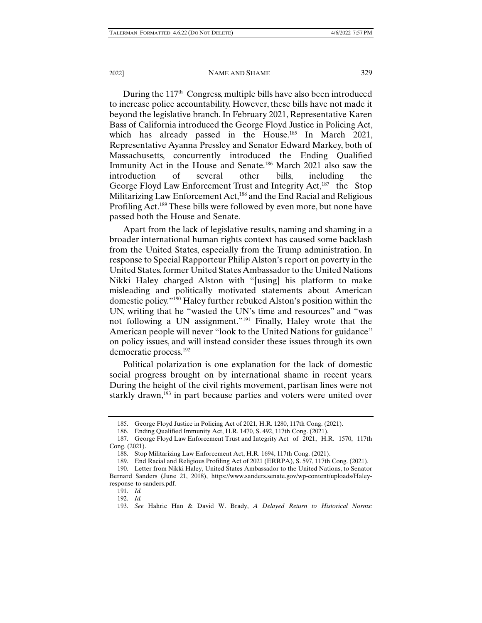During the  $117<sup>th</sup>$  Congress, multiple bills have also been introduced to increase police accountability. However, these bills have not made it beyond the legislative branch. In February 2021, Representative Karen Bass of California introduced the George Floyd Justice in Policing Act, which has already passed in the House.<sup>185</sup> In March 2021, Representative Ayanna Pressley and Senator Edward Markey, both of Massachusetts, concurrently introduced the Ending Qualified Immunity Act in the House and Senate.186 March 2021 also saw the introduction of several other bills, including the George Floyd Law Enforcement Trust and Integrity Act,<sup>187</sup> the Stop Militarizing Law Enforcement Act,<sup>188</sup> and the End Racial and Religious Profiling Act.189 These bills were followed by even more, but none have passed both the House and Senate.

Apart from the lack of legislative results, naming and shaming in a broader international human rights context has caused some backlash from the United States, especially from the Trump administration. In response to Special Rapporteur Philip Alston's report on poverty in the United States, former United States Ambassador to the United Nations Nikki Haley charged Alston with "[using] his platform to make misleading and politically motivated statements about American domestic policy."190 Haley further rebuked Alston's position within the UN, writing that he "wasted the UN's time and resources" and "was not following a UN assignment."191 Finally, Haley wrote that the American people will never "look to the United Nations for guidance" on policy issues, and will instead consider these issues through its own democratic process.192

Political polarization is one explanation for the lack of domestic social progress brought on by international shame in recent years. During the height of the civil rights movement, partisan lines were not starkly drawn,<sup>193</sup> in part because parties and voters were united over

 <sup>185.</sup> George Floyd Justice in Policing Act of 2021, H.R. 1280, 117th Cong. (2021).

 <sup>186.</sup> Ending Qualified Immunity Act, H.R. 1470, S. 492, 117th Cong. (2021).

 <sup>187.</sup> George Floyd Law Enforcement Trust and Integrity Act of 2021, H.R. 1570, 117th Cong. (2021).

 <sup>188.</sup> Stop Militarizing Law Enforcement Act, H.R. 1694, 117th Cong. (2021).

 <sup>189.</sup> End Racial and Religious Profiling Act of 2021 (ERRPA), S. 597, 117th Cong. (2021).

 <sup>190.</sup> Letter from Nikki Haley, United States Ambassador to the United Nations, to Senator Bernard Sanders (June 21, 2018), https://www.sanders.senate.gov/wp-content/uploads/Haleyresponse-to-sanders.pdf.

 <sup>191.</sup> *Id.* 

 <sup>192.</sup> *Id.*

 <sup>193.</sup> *See* Hahrie Han & David W. Brady, *A Delayed Return to Historical Norms:*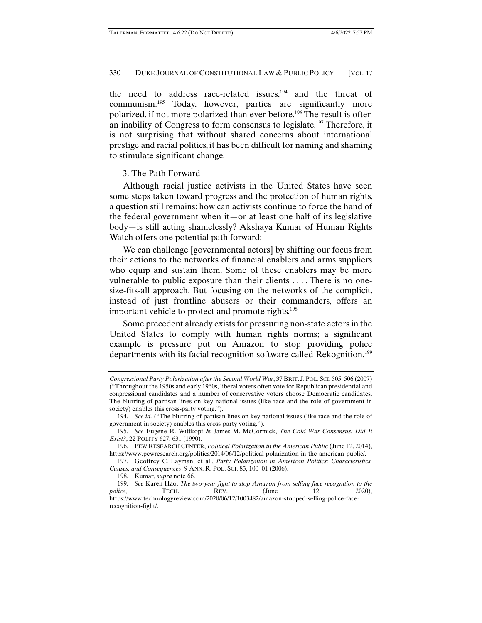the need to address race-related issues,<sup>194</sup> and the threat of communism.195 Today, however, parties are significantly more polarized, if not more polarized than ever before.196 The result is often an inability of Congress to form consensus to legislate.197 Therefore, it is not surprising that without shared concerns about international prestige and racial politics, it has been difficult for naming and shaming to stimulate significant change.

# 3. The Path Forward

Although racial justice activists in the United States have seen some steps taken toward progress and the protection of human rights, a question still remains: how can activists continue to force the hand of the federal government when it—or at least one half of its legislative body—is still acting shamelessly? Akshaya Kumar of Human Rights Watch offers one potential path forward:

We can challenge [governmental actors] by shifting our focus from their actions to the networks of financial enablers and arms suppliers who equip and sustain them. Some of these enablers may be more vulnerable to public exposure than their clients . . . . There is no onesize-fits-all approach. But focusing on the networks of the complicit, instead of just frontline abusers or their commanders, offers an important vehicle to protect and promote rights.198

Some precedent already exists for pressuring non-state actors in the United States to comply with human rights norms; a significant example is pressure put on Amazon to stop providing police departments with its facial recognition software called Rekognition.<sup>199</sup>

*Congressional Party Polarization after the Second World War*, 37 BRIT. J. POL. SCI. 505, 506 (2007) ("Throughout the 1950s and early 1960s, liberal voters often vote for Republican presidential and congressional candidates and a number of conservative voters choose Democratic candidates. The blurring of partisan lines on key national issues (like race and the role of government in society) enables this cross-party voting.").

 <sup>194.</sup> *See id.* ("The blurring of partisan lines on key national issues (like race and the role of government in society) enables this cross-party voting.").

 <sup>195.</sup> *See* Eugene R. Wittkopf & James M. McCormick, *The Cold War Consensus: Did It Exist?*, 22 POLITY 627, 631 (1990).

 <sup>196.</sup> PEW RESEARCH CENTER, *Political Polarization in the American Public* (June 12, 2014), https://www.pewresearch.org/politics/2014/06/12/political-polarization-in-the-american-public/.

 <sup>197.</sup> Geoffrey C. Layman, et al., *Party Polarization in American Politics: Characteristics, Causes, and Consequences*, 9 ANN. R. POL. SCI. 83, 100–01 (2006).

 <sup>198.</sup> Kumar, *supra* note 66.

 <sup>199.</sup> *See* Karen Hao, *The two-year fight to stop Amazon from selling face recognition to the police*, **TECH.** REV. (June 12, 2020), https://www.technologyreview.com/2020/06/12/1003482/amazon-stopped-selling-police-facerecognition-fight/.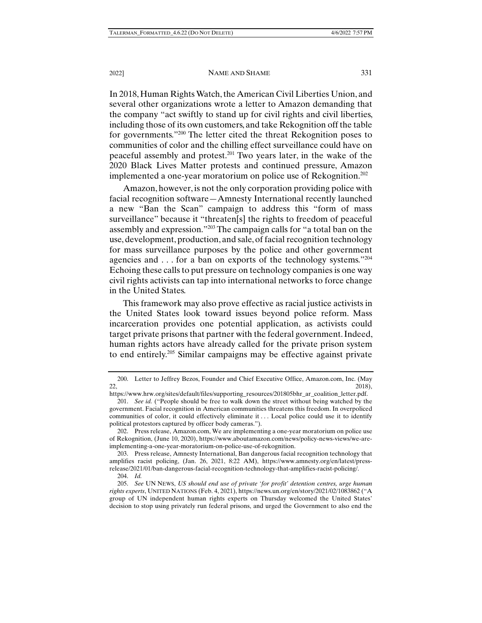In 2018, Human Rights Watch, the American Civil Liberties Union, and several other organizations wrote a letter to Amazon demanding that the company "act swiftly to stand up for civil rights and civil liberties, including those of its own customers, and take Rekognition off the table for governments."200 The letter cited the threat Rekognition poses to communities of color and the chilling effect surveillance could have on peaceful assembly and protest.201 Two years later, in the wake of the 2020 Black Lives Matter protests and continued pressure, Amazon implemented a one-year moratorium on police use of Rekognition.<sup>202</sup>

Amazon, however, is not the only corporation providing police with facial recognition software—Amnesty International recently launched a new "Ban the Scan" campaign to address this "form of mass surveillance" because it "threaten[s] the rights to freedom of peaceful assembly and expression."203 The campaign calls for "a total ban on the use, development, production, and sale, of facial recognition technology for mass surveillance purposes by the police and other government agencies and . . . for a ban on exports of the technology systems."204 Echoing these calls to put pressure on technology companies is one way civil rights activists can tap into international networks to force change in the United States.

This framework may also prove effective as racial justice activists in the United States look toward issues beyond police reform. Mass incarceration provides one potential application, as activists could target private prisons that partner with the federal government. Indeed, human rights actors have already called for the private prison system to end entirely.205 Similar campaigns may be effective against private

 <sup>200.</sup> Letter to Jeffrey Bezos, Founder and Chief Executive Office, Amazon.com, Inc. (May 22,  $22,$ 

https://www.hrw.org/sites/default/files/supporting\_resources/201805bhr\_ar\_coalition\_letter.pdf. 201. *See id.* ("People should be free to walk down the street without being watched by the government. Facial recognition in American communities threatens this freedom. In overpoliced communities of color, it could effectively eliminate it . . . Local police could use it to identify political protestors captured by officer body cameras.").

 <sup>202.</sup> Press release, Amazon.com, We are implementing a one-year moratorium on police use of Rekognition, (June 10, 2020), https://www.aboutamazon.com/news/policy-news-views/we-areimplementing-a-one-year-moratorium-on-police-use-of-rekognition.

 <sup>203.</sup> Press release, Amnesty International, Ban dangerous facial recognition technology that amplifies racist policing, (Jan. 26, 2021, 8:22 AM), https://www.amnesty.org/en/latest/pressrelease/2021/01/ban-dangerous-facial-recognition-technology-that-amplifies-racist-policing/.

 <sup>204.</sup> *Id.*

 <sup>205.</sup> *See* UN NEWS, *US should end use of private 'for profit' detention centres, urge human rights experts*, UNITED NATIONS (Feb. 4, 2021), https://news.un.org/en/story/2021/02/1083862 ("A group of UN independent human rights experts on Thursday welcomed the United States' decision to stop using privately run federal prisons, and urged the Government to also end the